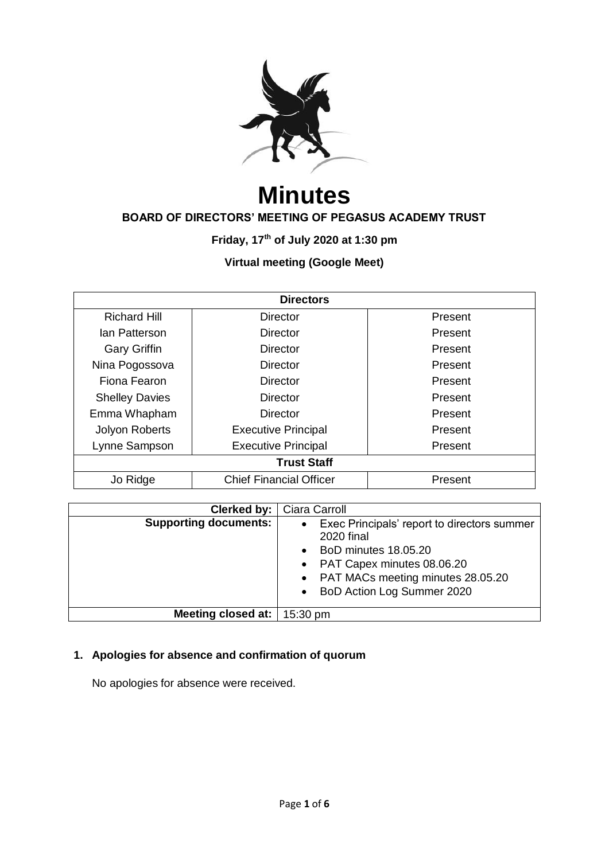

# **Minutes**

# **BOARD OF DIRECTORS' MEETING OF PEGASUS ACADEMY TRUST**

**Friday, 17th of July 2020 at 1:30 pm**

# **Virtual meeting (Google Meet)**

| <b>Directors</b>                           |                            |         |  |  |
|--------------------------------------------|----------------------------|---------|--|--|
| <b>Richard Hill</b>                        | Director                   | Present |  |  |
| lan Patterson                              | Director                   | Present |  |  |
| <b>Gary Griffin</b>                        | Director                   | Present |  |  |
| Nina Pogossova                             | Director                   | Present |  |  |
| Fiona Fearon                               | <b>Director</b>            | Present |  |  |
| <b>Shelley Davies</b>                      | Director                   | Present |  |  |
| Emma Whapham                               | Director                   | Present |  |  |
| Jolyon Roberts                             | <b>Executive Principal</b> | Present |  |  |
| Lynne Sampson                              | <b>Executive Principal</b> | Present |  |  |
| <b>Trust Staff</b>                         |                            |         |  |  |
| <b>Chief Financial Officer</b><br>Jo Ridge |                            | Present |  |  |

| Clerked by:                  | Ciara Carroll                                                                                                                                                                                     |
|------------------------------|---------------------------------------------------------------------------------------------------------------------------------------------------------------------------------------------------|
| <b>Supporting documents:</b> | • Exec Principals' report to directors summer<br><b>2020 final</b><br>BoD minutes 18.05.20<br>• PAT Capex minutes 08.06.20<br>• PAT MACs meeting minutes 28.05.20<br>• BoD Action Log Summer 2020 |
| Meeting closed at:           | 15:30 pm                                                                                                                                                                                          |

# **1. Apologies for absence and confirmation of quorum**

No apologies for absence were received.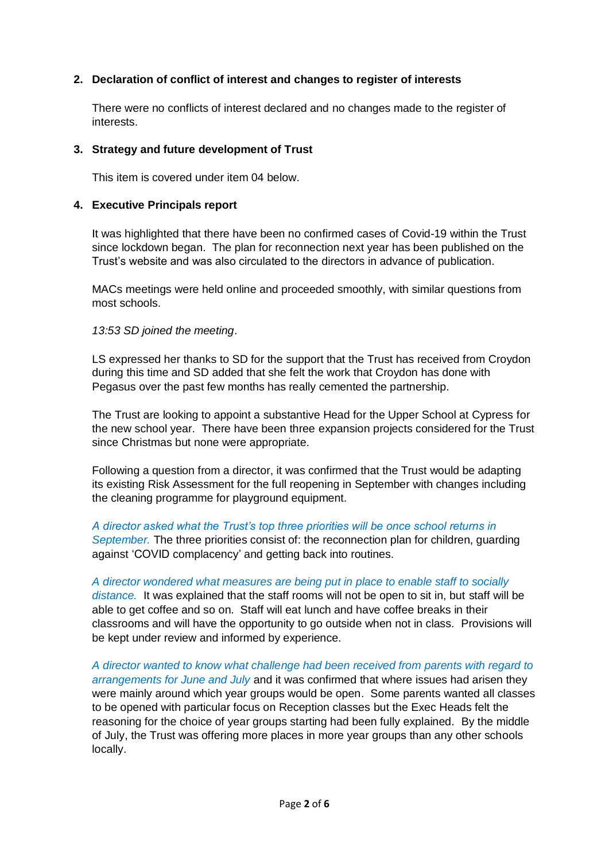# **2. Declaration of conflict of interest and changes to register of interests**

There were no conflicts of interest declared and no changes made to the register of interests.

#### **3. Strategy and future development of Trust**

This item is covered under item 04 below.

# **4. Executive Principals report**

It was highlighted that there have been no confirmed cases of Covid-19 within the Trust since lockdown began. The plan for reconnection next year has been published on the Trust's website and was also circulated to the directors in advance of publication.

MACs meetings were held online and proceeded smoothly, with similar questions from most schools.

*13:53 SD joined the meeting*.

LS expressed her thanks to SD for the support that the Trust has received from Croydon during this time and SD added that she felt the work that Croydon has done with Pegasus over the past few months has really cemented the partnership.

The Trust are looking to appoint a substantive Head for the Upper School at Cypress for the new school year. There have been three expansion projects considered for the Trust since Christmas but none were appropriate.

Following a question from a director, it was confirmed that the Trust would be adapting its existing Risk Assessment for the full reopening in September with changes including the cleaning programme for playground equipment.

*A director asked what the Trust's top three priorities will be once school returns in September.* The three priorities consist of: the reconnection plan for children, guarding against 'COVID complacency' and getting back into routines.

*A director wondered what measures are being put in place to enable staff to socially distance.* It was explained that the staff rooms will not be open to sit in, but staff will be able to get coffee and so on. Staff will eat lunch and have coffee breaks in their classrooms and will have the opportunity to go outside when not in class. Provisions will be kept under review and informed by experience.

*A director wanted to know what challenge had been received from parents with regard to arrangements for June and July* and it was confirmed that where issues had arisen they were mainly around which year groups would be open. Some parents wanted all classes to be opened with particular focus on Reception classes but the Exec Heads felt the reasoning for the choice of year groups starting had been fully explained. By the middle of July, the Trust was offering more places in more year groups than any other schools locally.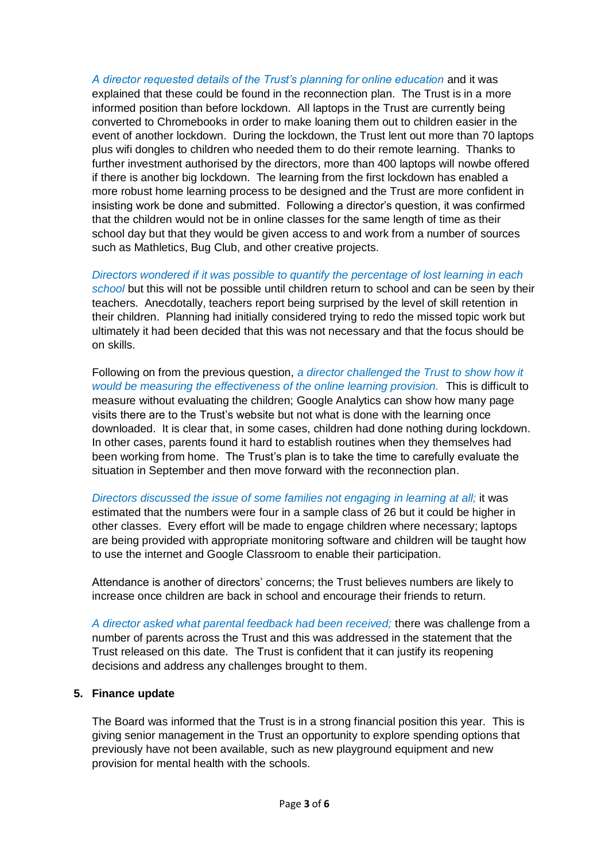*A director requested details of the Trust's planning for online education* and it was explained that these could be found in the reconnection plan. The Trust is in a more informed position than before lockdown. All laptops in the Trust are currently being converted to Chromebooks in order to make loaning them out to children easier in the event of another lockdown. During the lockdown, the Trust lent out more than 70 laptops plus wifi dongles to children who needed them to do their remote learning. Thanks to further investment authorised by the directors, more than 400 laptops will nowbe offered if there is another big lockdown. The learning from the first lockdown has enabled a more robust home learning process to be designed and the Trust are more confident in insisting work be done and submitted. Following a director's question, it was confirmed that the children would not be in online classes for the same length of time as their school day but that they would be given access to and work from a number of sources such as Mathletics, Bug Club, and other creative projects.

*Directors wondered if it was possible to quantify the percentage of lost learning in each school* but this will not be possible until children return to school and can be seen by their teachers. Anecdotally, teachers report being surprised by the level of skill retention in their children. Planning had initially considered trying to redo the missed topic work but ultimately it had been decided that this was not necessary and that the focus should be on skills.

Following on from the previous question, *a director challenged the Trust to show how it would be measuring the effectiveness of the online learning provision.* This is difficult to measure without evaluating the children; Google Analytics can show how many page visits there are to the Trust's website but not what is done with the learning once downloaded. It is clear that, in some cases, children had done nothing during lockdown. In other cases, parents found it hard to establish routines when they themselves had been working from home. The Trust's plan is to take the time to carefully evaluate the situation in September and then move forward with the reconnection plan.

*Directors discussed the issue of some families not engaging in learning at all;* it was estimated that the numbers were four in a sample class of 26 but it could be higher in other classes. Every effort will be made to engage children where necessary; laptops are being provided with appropriate monitoring software and children will be taught how to use the internet and Google Classroom to enable their participation.

Attendance is another of directors' concerns; the Trust believes numbers are likely to increase once children are back in school and encourage their friends to return.

*A director asked what parental feedback had been received;* there was challenge from a number of parents across the Trust and this was addressed in the statement that the Trust released on this date. The Trust is confident that it can justify its reopening decisions and address any challenges brought to them.

#### **5. Finance update**

The Board was informed that the Trust is in a strong financial position this year. This is giving senior management in the Trust an opportunity to explore spending options that previously have not been available, such as new playground equipment and new provision for mental health with the schools.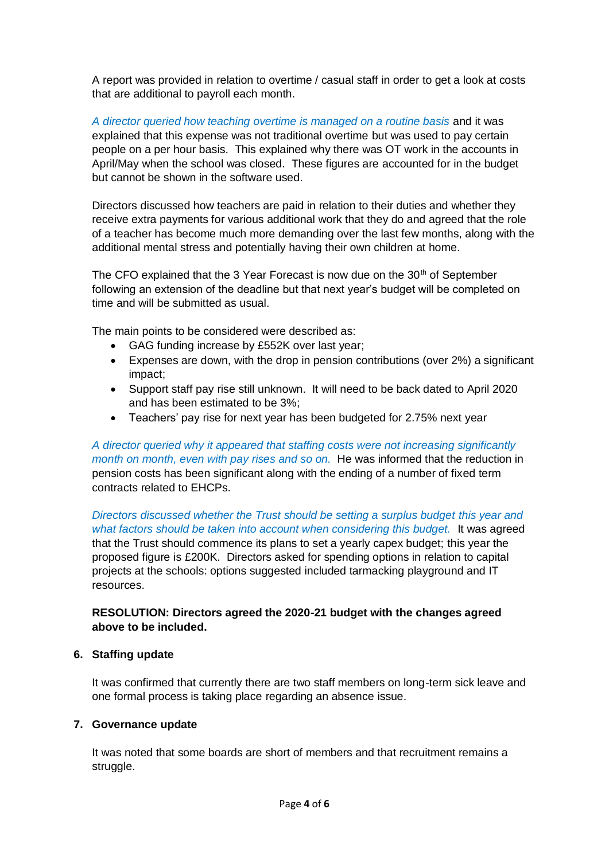A report was provided in relation to overtime / casual staff in order to get a look at costs that are additional to payroll each month.

*A director queried how teaching overtime is managed on a routine basis* and it was explained that this expense was not traditional overtime but was used to pay certain people on a per hour basis. This explained why there was OT work in the accounts in April/May when the school was closed. These figures are accounted for in the budget but cannot be shown in the software used.

Directors discussed how teachers are paid in relation to their duties and whether they receive extra payments for various additional work that they do and agreed that the role of a teacher has become much more demanding over the last few months, along with the additional mental stress and potentially having their own children at home.

The CFO explained that the 3 Year Forecast is now due on the 30<sup>th</sup> of September following an extension of the deadline but that next year's budget will be completed on time and will be submitted as usual.

The main points to be considered were described as:

- GAG funding increase by £552K over last year;
- Expenses are down, with the drop in pension contributions (over 2%) a significant impact;
- Support staff pay rise still unknown. It will need to be back dated to April 2020 and has been estimated to be 3%;
- Teachers' pay rise for next year has been budgeted for 2.75% next year

*A director queried why it appeared that staffing costs were not increasing significantly month on month, even with pay rises and so on.* He was informed that the reduction in pension costs has been significant along with the ending of a number of fixed term contracts related to EHCPs.

*Directors discussed whether the Trust should be setting a surplus budget this year and what factors should be taken into account when considering this budget.* It was agreed that the Trust should commence its plans to set a yearly capex budget; this year the proposed figure is £200K. Directors asked for spending options in relation to capital projects at the schools: options suggested included tarmacking playground and IT resources.

# **RESOLUTION: Directors agreed the 2020-21 budget with the changes agreed above to be included.**

#### **6. Staffing update**

It was confirmed that currently there are two staff members on long-term sick leave and one formal process is taking place regarding an absence issue.

#### **7. Governance update**

It was noted that some boards are short of members and that recruitment remains a struggle.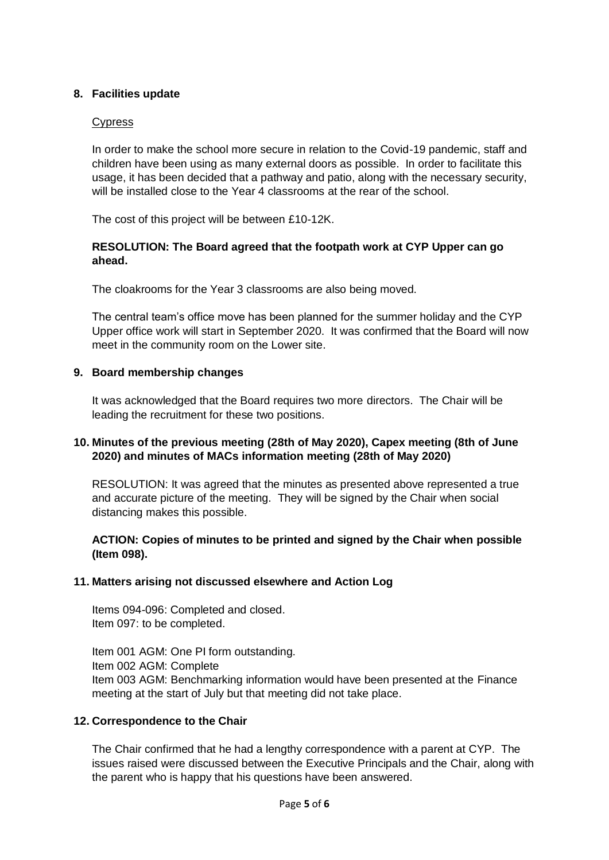# **8. Facilities update**

#### Cypress

In order to make the school more secure in relation to the Covid-19 pandemic, staff and children have been using as many external doors as possible. In order to facilitate this usage, it has been decided that a pathway and patio, along with the necessary security, will be installed close to the Year 4 classrooms at the rear of the school.

The cost of this project will be between £10-12K.

#### **RESOLUTION: The Board agreed that the footpath work at CYP Upper can go ahead.**

The cloakrooms for the Year 3 classrooms are also being moved.

The central team's office move has been planned for the summer holiday and the CYP Upper office work will start in September 2020. It was confirmed that the Board will now meet in the community room on the Lower site.

#### **9. Board membership changes**

It was acknowledged that the Board requires two more directors. The Chair will be leading the recruitment for these two positions.

#### **10. Minutes of the previous meeting (28th of May 2020), Capex meeting (8th of June 2020) and minutes of MACs information meeting (28th of May 2020)**

RESOLUTION: It was agreed that the minutes as presented above represented a true and accurate picture of the meeting. They will be signed by the Chair when social distancing makes this possible.

#### **ACTION: Copies of minutes to be printed and signed by the Chair when possible (Item 098).**

#### **11. Matters arising not discussed elsewhere and Action Log**

Items 094-096: Completed and closed. Item 097: to be completed.

Item 001 AGM: One PI form outstanding. Item 002 AGM: Complete Item 003 AGM: Benchmarking information would have been presented at the Finance meeting at the start of July but that meeting did not take place.

#### **12. Correspondence to the Chair**

The Chair confirmed that he had a lengthy correspondence with a parent at CYP. The issues raised were discussed between the Executive Principals and the Chair, along with the parent who is happy that his questions have been answered.